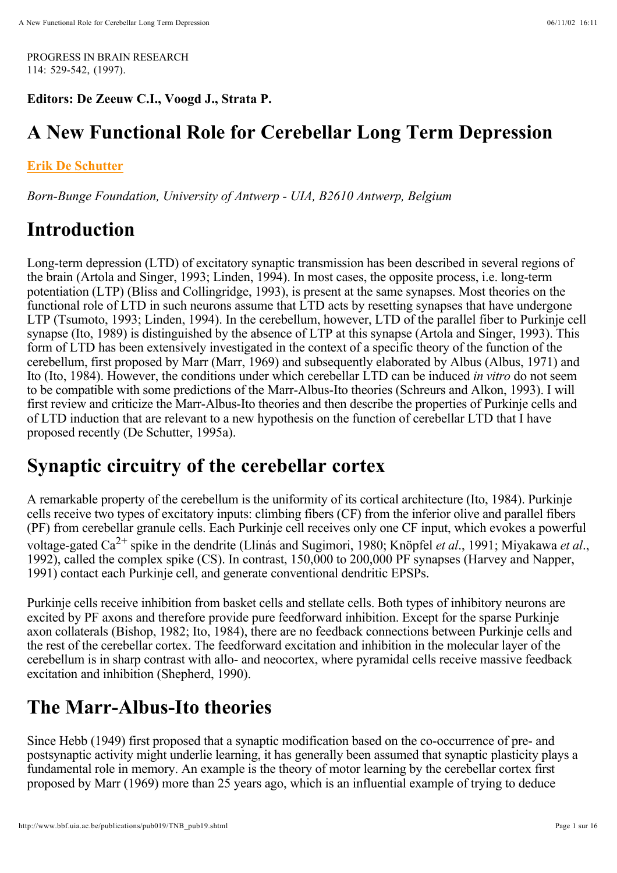PROGRESS IN BRAIN RESEARCH 114: 529-542, (1997).

**Editors: De Zeeuw C.I., Voogd J., Strata P.**

#### **A New Functional Role for Cerebellar Long Term Depression**

#### **Erik De Schutter**

*Born-Bunge Foundation, University of Antwerp - UIA, B2610 Antwerp, Belgium*

#### **Introduction**

Long-term depression (LTD) of excitatory synaptic transmission has been described in several regions of the brain (Artola and Singer, 1993; Linden, 1994). In most cases, the opposite process, i.e. long-term potentiation (LTP) (Bliss and Collingridge, 1993), is present at the same synapses. Most theories on the functional role of LTD in such neurons assume that LTD acts by resetting synapses that have undergone LTP (Tsumoto, 1993; Linden, 1994). In the cerebellum, however, LTD of the parallel fiber to Purkinje cell synapse (Ito, 1989) is distinguished by the absence of LTP at this synapse (Artola and Singer, 1993). This form of LTD has been extensively investigated in the context of a specific theory of the function of the cerebellum, first proposed by Marr (Marr, 1969) and subsequently elaborated by Albus (Albus, 1971) and Ito (Ito, 1984). However, the conditions under which cerebellar LTD can be induced in vitro do not seem to be compatible with some predictions of the Marr-Albus-Ito theories (Schreurs and Alkon, 1993). I will first review and criticize the Marr-Albus-Ito theories and then describe the properties of Purkinje cells and of LTD induction that are relevant to a new hypothesis on the function of cerebellar LTD that I have proposed recently (De Schutter, 1995a).

#### **Synaptic circuitry of the cerebellar cortex**

A remarkable property of the cerebellum is the uniformity of its cortical architecture (Ito, 1984). Purkinje cells receive two types of excitatory inputs: climbing fibers (CF) from the inferior olive and parallel fibers (PF) from cerebellar granule cells. Each Purkinje cell receives only one CF input, which evokes a powerful voltage-gated Ca<sup>2+</sup> spike in the dendrite (Llinás and Sugimori, 1980; Knöpfel *et al.*, 1991; Miyakawa *et al.*, 1992), called the complex spike (CS). In contrast, 150,000 to 200,000 PF synapses (Harvey and Napper, 1991) contact each Purkinje cell, and generate conventional dendritic EPSPs.

Purkinje cells receive inhibition from basket cells and stellate cells. Both types of inhibitory neurons are excited by PF axons and therefore provide pure feedforward inhibition. Except for the sparse Purkinje axon collaterals (Bishop, 1982; Ito, 1984), there are no feedback connections between Purkinje cells and the rest of the cerebellar cortex. The feedforward excitation and inhibition in the molecular layer of the cerebellum is in sharp contrast with allo- and neocortex, where pyramidal cells receive massive feedback excitation and inhibition (Shepherd, 1990).

# **The Marr-Albus-Ito theories**

Since Hebb (1949) first proposed that a synaptic modification based on the co-occurrence of pre- and postsynaptic activity might underlie learning, it has generally been assumed that synaptic plasticity plays a fundamental role in memory. An example is the theory of motor learning by the cerebellar cortex first proposed by Marr (1969) more than 25 years ago, which is an influential example of trying to deduce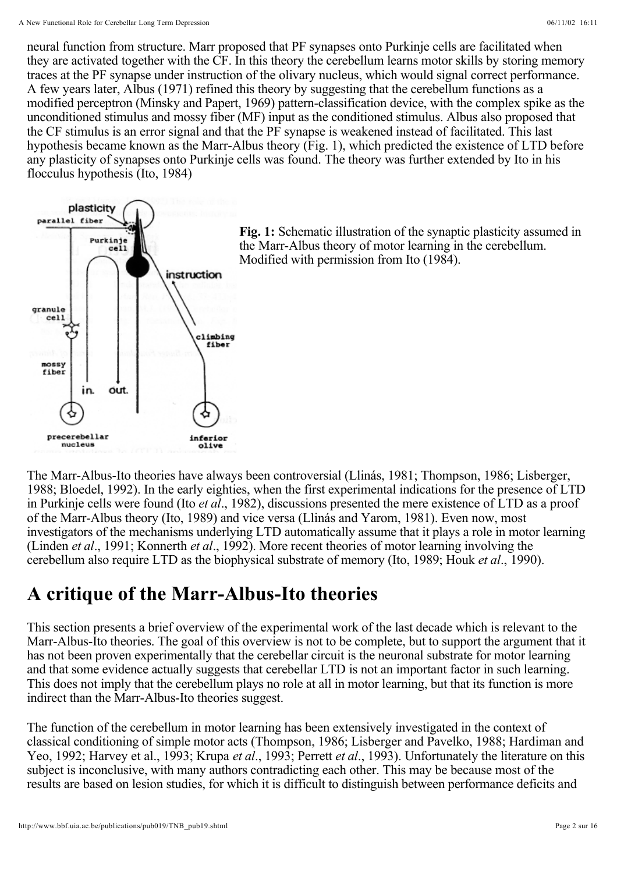neural function from structure. Marr proposed that PF synapses onto Purkinje cells are facilitated when they are activated together with the CF. In this theory the cerebellum learns motor skills by storing memory traces at the PF synapse under instruction of the olivary nucleus, which would signal correct performance. A few years later, Albus (1971) refined this theory by suggesting that the cerebellum functions as a modified perceptron (Minsky and Papert, 1969) pattern-classification device, with the complex spike as the unconditioned stimulus and mossy fiber (MF) input as the conditioned stimulus. Albus also proposed that the CF stimulus is an error signal and that the PF synapse is weakened instead of facilitated. This last hypothesis became known as the Marr-Albus theory (Fig. 1), which predicted the existence of LTD before any plasticity of synapses onto Purkinje cells was found. The theory was further extended by Ito in his flocculus hypothesis (Ito, 1984)



Fig. 1: Schematic illustration of the synaptic plasticity assumed in the Marr-Albus theory of motor learning in the cerebellum. Modified with permission from Ito (1984).

The Marr-Albus-Ito theories have always been controversial (Llinás, 1981; Thompson, 1986; Lisberger, 1988; Bloedel, 1992). In the early eighties, when the first experimental indications for the presence of LTD in Purkinje cells were found (Ito *et al.*, 1982), discussions presented the mere existence of LTD as a proof of the Marr-Albus theory (Ito, 1989) and vice versa (Llinás and Yarom, 1981). Even now, most investigators of the mechanisms underlying LTD automatically assume that it plays a role in motor learning (Linden et al., 1991; Konnerth et al., 1992). More recent theories of motor learning involving the cerebellum also require LTD as the biophysical substrate of memory (Ito, 1989; Houk et al., 1990).

# **A critique of the Marr-Albus-Ito theories**

This section presents a brief overview of the experimental work of the last decade which is relevant to the Marr-Albus-Ito theories. The goal of this overview is not to be complete, but to support the argument that it has not been proven experimentally that the cerebellar circuit is the neuronal substrate for motor learning and that some evidence actually suggests that cerebellar LTD is not an important factor in such learning. This does not imply that the cerebellum plays no role at all in motor learning, but that its function is more indirect than the Marr-Albus-Ito theories suggest.

The function of the cerebellum in motor learning has been extensively investigated in the context of classical conditioning of simple motor acts (Thompson, 1986; Lisberger and Pavelko, 1988; Hardiman and Yeo, 1992; Harvey et al., 1993; Krupa et al., 1993; Perrett et al., 1993). Unfortunately the literature on this subject is inconclusive, with many authors contradicting each other. This may be because most of the results are based on lesion studies, for which it is difficult to distinguish between performance deficits and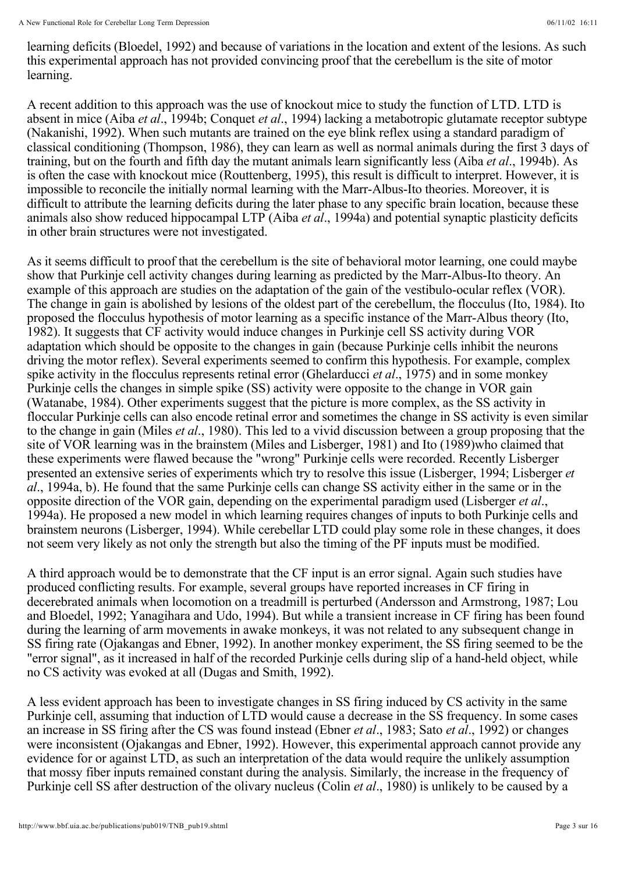learning deficits (Bloedel, 1992) and because of variations in the location and extent of the lesions. As such this experimental approach has not provided convincing proof that the cerebellum is the site of motor learning.

A recent addition to this approach was the use of knockout mice to study the function of LTD. LTD is absent in mice (Aiba et al., 1994b; Conquet et al., 1994) lacking a metabotropic glutamate receptor subtype (Nakanishi, 1992). When such mutants are trained on the eye blink reflex using a standard paradigm of classical conditioning (Thompson, 1986), they can learn as well as normal animals during the first 3 days of training, but on the fourth and fifth day the mutant animals learn significantly less (Aiba et al., 1994b). As is often the case with knockout mice (Routtenberg, 1995), this result is difficult to interpret. However, it is impossible to reconcile the initially normal learning with the Marr-Albus-Ito theories. Moreover, it is difficult to attribute the learning deficits during the later phase to any specific brain location, because these animals also show reduced hippocampal LTP (Aiba et al., 1994a) and potential synaptic plasticity deficits in other brain structures were not investigated.

As it seems difficult to proof that the cerebellum is the site of behavioral motor learning, one could maybe show that Purkinje cell activity changes during learning as predicted by the Marr-Albus-Ito theory. An example of this approach are studies on the adaptation of the gain of the vestibulo-ocular reflex (VOR). The change in gain is abolished by lesions of the oldest part of the cerebellum, the flocculus (Ito, 1984). Ito proposed the flocculus hypothesis of motor learning as a specific instance of the Marr-Albus theory (Ito, 1982). It suggests that CF activity would induce changes in Purkinje cell SS activity during VOR adaptation which should be opposite to the changes in gain (because Purkinje cells inhibit the neurons driving the motor reflex). Several experiments seemed to confirm this hypothesis. For example, complex spike activity in the flocculus represents retinal error (Ghelarducci et al., 1975) and in some monkey Purkinje cells the changes in simple spike (SS) activity were opposite to the change in VOR gain (Watanabe, 1984). Other experiments suggest that the picture is more complex, as the SS activity in floccular Purkinje cells can also encode retinal error and sometimes the change in SS activity is even similar to the change in gain (Miles *et al.*, 1980). This led to a vivid discussion between a group proposing that the site of VOR learning was in the brainstem (Miles and Lisberger, 1981) and Ito (1989)who claimed that these experiments were flawed because the "wrong" Purkinje cells were recorded. Recently Lisberger presented an extensive series of experiments which try to resolve this issue (Lisberger, 1994; Lisberger *et* ., 1994a, b). He found that the same Purkinje cells can change SS activity either in the same or in the *al* opposite direction of the VOR gain, depending on the experimental paradigm used (Lisberger et al., 1994a). He proposed a new model in which learning requires changes of inputs to both Purkinje cells and brainstem neurons (Lisberger, 1994). While cerebellar LTD could play some role in these changes, it does not seem very likely as not only the strength but also the timing of the PF inputs must be modified.

A third approach would be to demonstrate that the CF input is an error signal. Again such studies have produced conflicting results. For example, several groups have reported increases in CF firing in decerebrated animals when locomotion on a treadmill is perturbed (Andersson and Armstrong, 1987; Lou and Bloedel, 1992; Yanagihara and Udo, 1994). But while a transient increase in CF firing has been found during the learning of arm movements in awake monkeys, it was not related to any subsequent change in SS firing rate (Ojakangas and Ebner, 1992). In another monkey experiment, the SS firing seemed to be the "error signal", as it increased in half of the recorded Purkinje cells during slip of a hand-held object, while no CS activity was evoked at all (Dugas and Smith, 1992).

A less evident approach has been to investigate changes in SS firing induced by CS activity in the same Purkinje cell, assuming that induction of LTD would cause a decrease in the SS frequency. In some cases an increase in SS firing after the CS was found instead (Ebner *et al.*, 1983; Sato *et al.*, 1992) or changes were inconsistent (Ojakangas and Ebner, 1992). However, this experimental approach cannot provide any evidence for or against LTD, as such an interpretation of the data would require the unlikely assumption that mossy fiber inputs remained constant during the analysis. Similarly, the increase in the frequency of Purkinje cell SS after destruction of the olivary nucleus (Colin *et al.*, 1980) is unlikely to be caused by a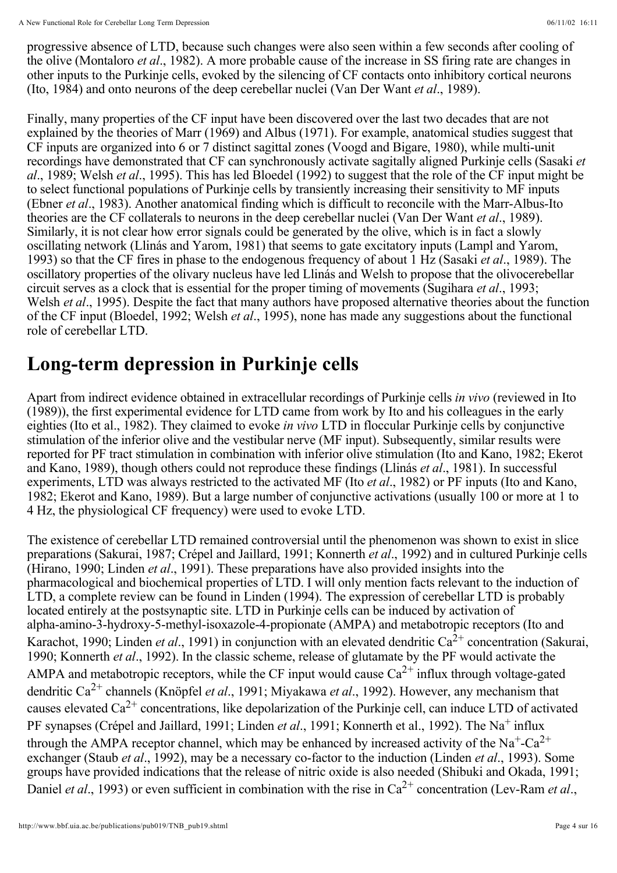progressive absence of LTD, because such changes were also seen within a few seconds after cooling of the olive (Montaloro *et al.*, 1982). A more probable cause of the increase in SS firing rate are changes in other inputs to the Purkinje cells, evoked by the silencing of CF contacts onto inhibitory cortical neurons (Ito, 1984) and onto neurons of the deep cerebellar nuclei (Van Der Want et al., 1989).

Finally, many properties of the CF input have been discovered over the last two decades that are not explained by the theories of Marr (1969) and Albus (1971). For example, anatomical studies suggest that CF inputs are organized into 6 or 7 distinct sagittal zones (Voogd and Bigare, 1980), while multi-unit recordings have demonstrated that CF can synchronously activate sagitally aligned Purkinje cells (Sasaki *et*  al., 1989; Welsh et al., 1995). This has led Bloedel (1992) to suggest that the role of the CF input might be to select functional populations of Purkinje cells by transiently increasing their sensitivity to MF inputs (Ebner et al., 1983). Another anatomical finding which is difficult to reconcile with the Marr-Albus-Ito theories are the CF collaterals to neurons in the deep cerebellar nuclei (Van Der Want et al., 1989). Similarly, it is not clear how error signals could be generated by the olive, which is in fact a slowly oscillating network (Llinás and Yarom, 1981) that seems to gate excitatory inputs (Lampl and Yarom, 1993) so that the CF fires in phase to the endogenous frequency of about 1 Hz (Sasaki et al., 1989). The oscillatory properties of the olivary nucleus have led Llinás and Welsh to propose that the olivocerebellar circuit serves as a clock that is essential for the proper timing of movements (Sugihara et al., 1993; Welsh et al., 1995). Despite the fact that many authors have proposed alternative theories about the function of the CF input (Bloedel, 1992; Welsh *et al.*, 1995), none has made any suggestions about the functional role of cerebellar LTD.

# **Long-term depression in Purkinje cells**

Apart from indirect evidence obtained in extracellular recordings of Purkinje cells in vivo (reviewed in Ito (1989)), the first experimental evidence for LTD came from work by Ito and his colleagues in the early eighties (Ito et al., 1982). They claimed to evoke in vivo LTD in floccular Purkinje cells by conjunctive stimulation of the inferior olive and the vestibular nerve (MF input). Subsequently, similar results were reported for PF tract stimulation in combination with inferior olive stimulation (Ito and Kano, 1982; Ekerot and Kano, 1989), though others could not reproduce these findings (Llinás et al., 1981). In successful experiments, LTD was always restricted to the activated MF (Ito *et al.*, 1982) or PF inputs (Ito and Kano, 1982; Ekerot and Kano, 1989). But a large number of conjunctive activations (usually 100 or more at 1 to 4 Hz, the physiological CF frequency) were used to evoke LTD.

The existence of cerebellar LTD remained controversial until the phenomenon was shown to exist in slice preparations (Sakurai, 1987; Crépel and Jaillard, 1991; Konnerth et al., 1992) and in cultured Purkinje cells (Hirano, 1990; Linden *et al.*, 1991). These preparations have also provided insights into the pharmacological and biochemical properties of LTD. I will only mention facts relevant to the induction of LTD, a complete review can be found in Linden (1994). The expression of cerebellar LTD is probably located entirely at the postsynaptic site. LTD in Purkinje cells can be induced by activation of alpha-amino-3-hydroxy-5-methyl-isoxazole-4-propionate (AMPA) and metabotropic receptors (Ito and Karachot, 1990; Linden *et al.*, 1991) in conjunction with an elevated dendritic  $Ca^{2+}$  concentration (Sakurai, 1990; Konnerth et al., 1992). In the classic scheme, release of glutamate by the PF would activate the AMPA and metabotropic receptors, while the CF input would cause  $Ca^{2+}$  influx through voltage-gated dendritic Ca<sup>2+</sup> channels (Knöpfel *et al.*, 1991; Miyakawa *et al.*, 1992). However, any mechanism that causes elevated Ca<sup>2+</sup> concentrations, like depolarization of the Purkinje cell, can induce LTD of activated PF synapses (Crépel and Jaillard, 1991; Linden *et al.*, 1991; Konnerth et al., 1992). The Na<sup>+</sup> influx through the AMPA receptor channel, which may be enhanced by increased activity of the  $Na^+$ -Ca<sup>2+</sup> exchanger (Staub *et al.*, 1992), may be a necessary co-factor to the induction (Linden *et al.*, 1993). Some groups have provided indications that the release of nitric oxide is also needed (Shibuki and Okada, 1991; Daniel *et al.*, 1993) or even sufficient in combination with the rise in  $Ca^{2+}$  concentration (Lev-Ram *et al.*, *et al.*, 1991) in conjunction with an elevated dendritic  $Ca^{2+}$ *et al*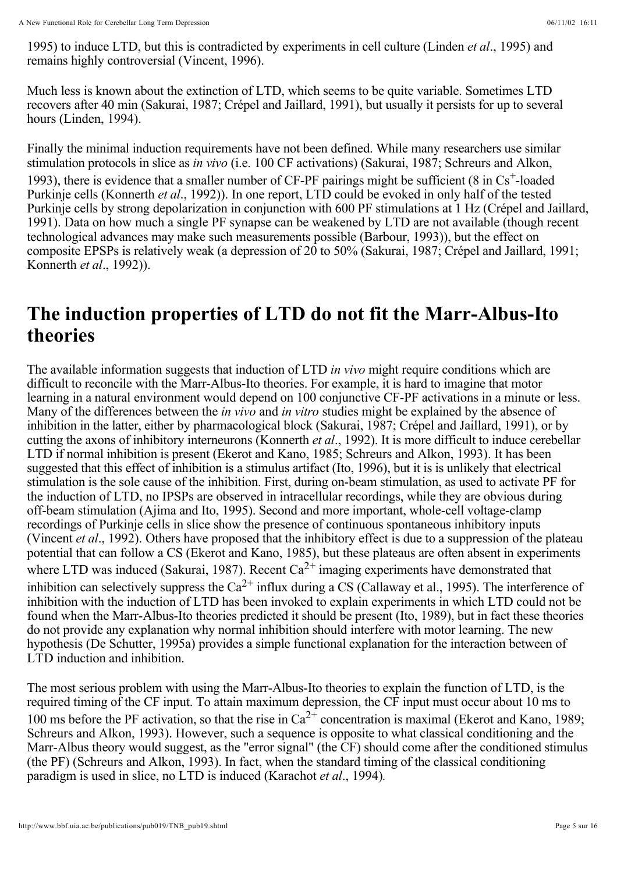1995) to induce LTD, but this is contradicted by experiments in cell culture (Linden *et al.*, 1995) and remains highly controversial (Vincent, 1996).

Much less is known about the extinction of LTD, which seems to be quite variable. Sometimes LTD recovers after 40 min (Sakurai, 1987; Crépel and Jaillard, 1991), but usually it persists for up to several hours (Linden, 1994).

Finally the minimal induction requirements have not been defined. While many researchers use similar stimulation protocols in slice as *in vivo* (i.e. 100 CF activations) (Sakurai, 1987; Schreurs and Alkon, 1993), there is evidence that a smaller number of CF-PF pairings might be sufficient  $(8 \text{ in Cs}^+$ -loaded Purkinje cells (Konnerth et al., 1992)). In one report, LTD could be evoked in only half of the tested Purkinje cells by strong depolarization in conjunction with 600 PF stimulations at 1 Hz (Crépel and Jaillard, 1991). Data on how much a single PF synapse can be weakened by LTD are not available (though recent technological advances may make such measurements possible (Barbour, 1993)), but the effect on composite EPSPs is relatively weak (a depression of 20 to 50% (Sakurai, 1987; Crépel and Jaillard, 1991; Konnerth *et al.*, 1992)).

#### **The induction properties of LTD do not fit the Marr-Albus-Ito theories**

The available information suggests that induction of LTD in vivo might require conditions which are difficult to reconcile with the Marr-Albus-Ito theories. For example, it is hard to imagine that motor learning in a natural environment would depend on 100 conjunctive CF-PF activations in a minute or less. Many of the differences between the *in vivo* and *in vitro* studies might be explained by the absence of inhibition in the latter, either by pharmacological block (Sakurai, 1987; Crépel and Jaillard, 1991), or by cutting the axons of inhibitory interneurons (Konnerth et al., 1992). It is more difficult to induce cerebellar LTD if normal inhibition is present (Ekerot and Kano, 1985; Schreurs and Alkon, 1993). It has been suggested that this effect of inhibition is a stimulus artifact (Ito, 1996), but it is is unlikely that electrical stimulation is the sole cause of the inhibition. First, during on-beam stimulation, as used to activate PF for the induction of LTD, no IPSPs are observed in intracellular recordings, while they are obvious during off-beam stimulation (Ajima and Ito, 1995). Second and more important, whole-cell voltage-clamp recordings of Purkinje cells in slice show the presence of continuous spontaneous inhibitory inputs (Vincent et al., 1992). Others have proposed that the inhibitory effect is due to a suppression of the plateau potential that can follow a CS (Ekerot and Kano, 1985), but these plateaus are often absent in experiments where LTD was induced (Sakurai, 1987). Recent  $Ca^{2+}$  imaging experiments have demonstrated that inhibition can selectively suppress the  $Ca^{2+}$  influx during a CS (Callaway et al., 1995). The interference of inhibition with the induction of LTD has been invoked to explain experiments in which LTD could not be found when the Marr-Albus-Ito theories predicted it should be present (Ito, 1989), but in fact these theories do not provide any explanation why normal inhibition should interfere with motor learning. The new hypothesis (De Schutter, 1995a) provides a simple functional explanation for the interaction between of LTD induction and inhibition.

The most serious problem with using the Marr-Albus-Ito theories to explain the function of LTD, is the required timing of the CF input. To attain maximum depression, the CF input must occur about 10 ms to 100 ms before the PF activation, so that the rise in  $Ca^{2+}$  concentration is maximal (Ekerot and Kano, 1989; Schreurs and Alkon, 1993). However, such a sequence is opposite to what classical conditioning and the Marr-Albus theory would suggest, as the "error signal" (the CF) should come after the conditioned stimulus (the PF) (Schreurs and Alkon, 1993). In fact, when the standard timing of the classical conditioning paradigm is used in slice, no LTD is induced (Karachot et al., 1994).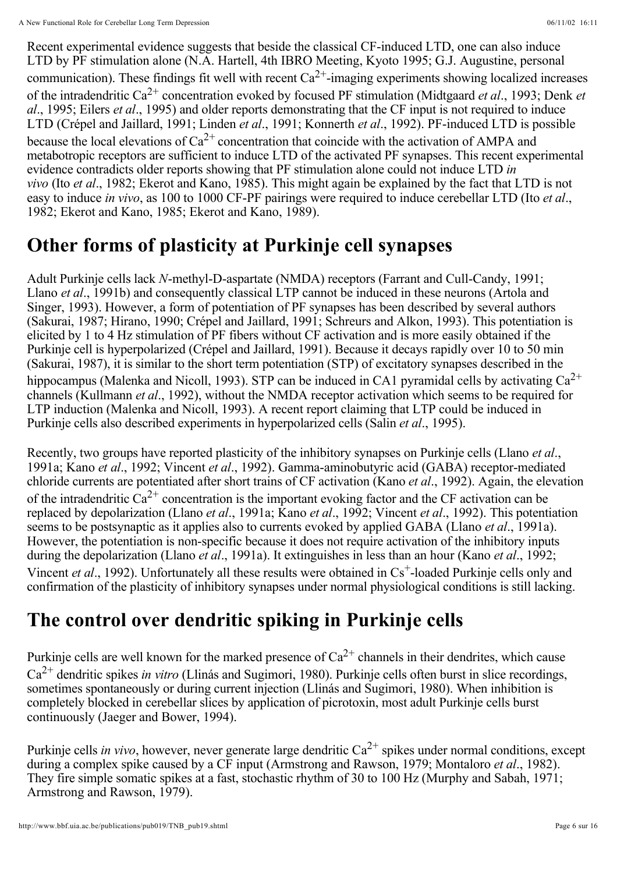Recent experimental evidence suggests that beside the classical CF-induced LTD, one can also induce LTD by PF stimulation alone (N.A. Hartell, 4th IBRO Meeting, Kyoto 1995; G.J. Augustine, personal communication). These findings fit well with recent  $Ca^{2+}$ -imaging experiments showing localized increases of the intradendritic Ca<sup>2+</sup> concentration evoked by focused PF stimulation (Midtgaard *et al.*, 1993; Denk *et* al., 1995; Eilers et al., 1995) and older reports demonstrating that the CF input is not required to induce LTD (Crépel and Jaillard, 1991; Linden et al., 1991; Konnerth et al., 1992). PF-induced LTD is possible because the local elevations of  $Ca^{2+}$  concentration that coincide with the activation of AMPA and metabotropic receptors are sufficient to induce LTD of the activated PF synapses. This recent experimental evidence contradicts older reports showing that PF stimulation alone could not induce LTD *in vivo* (Ito et al., 1982; Ekerot and Kano, 1985). This might again be explained by the fact that LTD is not easy to induce *in vivo*, as 100 to 1000 CF-PF pairings were required to induce cerebellar LTD (Ito *et al.*, 1982; Ekerot and Kano, 1985; Ekerot and Kano, 1989).

# **Other forms of plasticity at Purkinje cell synapses**

Adult Purkinje cells lack N-methyl-D-aspartate (NMDA) receptors (Farrant and Cull-Candy, 1991; Llano et al., 1991b) and consequently classical LTP cannot be induced in these neurons (Artola and Singer, 1993). However, a form of potentiation of PF synapses has been described by several authors (Sakurai, 1987; Hirano, 1990; Crépel and Jaillard, 1991; Schreurs and Alkon, 1993). This potentiation is elicited by 1 to 4 Hz stimulation of PF fibers without CF activation and is more easily obtained if the Purkinje cell is hyperpolarized (Crépel and Jaillard, 1991). Because it decays rapidly over 10 to 50 min (Sakurai, 1987), it is similar to the short term potentiation (STP) of excitatory synapses described in the hippocampus (Malenka and Nicoll, 1993). STP can be induced in CA1 pyramidal cells by activating  $Ca^{2+}$ channels (Kullmann *et al.*, 1992), without the NMDA receptor activation which seems to be required for LTP induction (Malenka and Nicoll, 1993). A recent report claiming that LTP could be induced in Purkinje cells also described experiments in hyperpolarized cells (Salin et al., 1995).

Recently, two groups have reported plasticity of the inhibitory synapses on Purkinje cells (Llano et al., 1991a; Kano et al., 1992; Vincent et al., 1992). Gamma-aminobutyric acid (GABA) receptor-mediated chloride currents are potentiated after short trains of CF activation (Kano et al., 1992). Again, the elevation of the intradendritic Ca<sup>2+</sup> concentration is the important evoking factor and the CF activation can be replaced by depolarization (Llano *et al.*, 1991a; Kano *et al.*, 1992; Vincent *et al.*, 1992). This potentiation seems to be postsynaptic as it applies also to currents evoked by applied GABA (Llano *et al.*, 1991a). However, the potentiation is non-specific because it does not require activation of the inhibitory inputs during the depolarization (Llano *et al.*, 1991a). It extinguishes in less than an hour (Kano *et al.*, 1992; Vincent et al., 1992). Unfortunately all these results were obtained in Cs<sup>+</sup>-loaded Purkinje cells only and confirmation of the plasticity of inhibitory synapses under normal physiological conditions is still lacking.

# **The control over dendritic spiking in Purkinje cells**

Purkinje cells are well known for the marked presence of  $Ca^{2+}$  channels in their dendrites, which cause  $Ca^{2+}$  dendritic spikes *in vitro* (Llinás and Sugimori, 1980). Purkinje cells often burst in slice recordings, sometimes spontaneously or during current injection (Llinás and Sugimori, 1980). When inhibition is completely blocked in cerebellar slices by application of picrotoxin, most adult Purkinje cells burst continuously (Jaeger and Bower, 1994).

Purkinje cells *in vivo*, however, never generate large dendritic  $Ca^{2+}$  spikes under normal conditions, except during a complex spike caused by a CF input (Armstrong and Rawson, 1979; Montaloro et al., 1982). They fire simple somatic spikes at a fast, stochastic rhythm of 30 to 100 Hz (Murphy and Sabah, 1971; Armstrong and Rawson, 1979).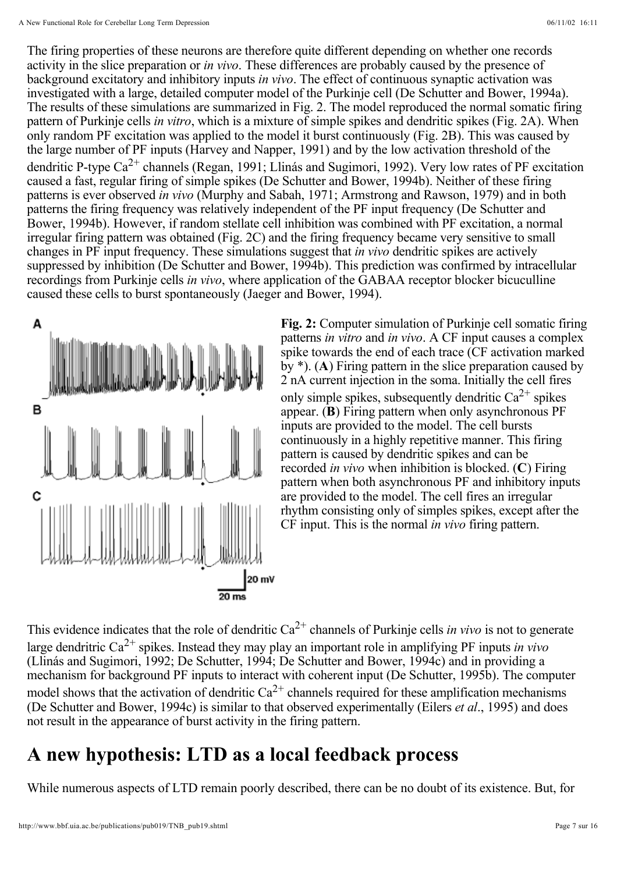The firing properties of these neurons are therefore quite different depending on whether one records activity in the slice preparation or *in vivo*. These differences are probably caused by the presence of background excitatory and inhibitory inputs in vivo. The effect of continuous synaptic activation was investigated with a large, detailed computer model of the Purkinje cell (De Schutter and Bower, 1994a). The results of these simulations are summarized in Fig. 2. The model reproduced the normal somatic firing pattern of Purkinje cells *in vitro*, which is a mixture of simple spikes and dendritic spikes (Fig. 2A). When only random PF excitation was applied to the model it burst continuously (Fig. 2B). This was caused by the large number of PF inputs (Harvey and Napper, 1991) and by the low activation threshold of the dendritic P-type Ca<sup>2+</sup> channels (Regan, 1991; Llinás and Sugimori, 1992). Very low rates of PF excitation caused a fast, regular firing of simple spikes (De Schutter and Bower, 1994b). Neither of these firing patterns is ever observed in vivo (Murphy and Sabah, 1971; Armstrong and Rawson, 1979) and in both patterns the firing frequency was relatively independent of the PF input frequency (De Schutter and Bower, 1994b). However, if random stellate cell inhibition was combined with PF excitation, a normal irregular firing pattern was obtained (Fig. 2C) and the firing frequency became very sensitive to small changes in PF input frequency. These simulations suggest that *in vivo* dendritic spikes are actively suppressed by inhibition (De Schutter and Bower, 1994b). This prediction was confirmed by intracellular recordings from Purkinje cells in vivo, where application of the GABAA receptor blocker bicuculline caused these cells to burst spontaneously (Jaeger and Bower, 1994).



Fig. 2: Computer simulation of Purkinje cell somatic firing patterns *in vitro* and *in vivo*. A CF input causes a complex spike towards the end of each trace (CF activation marked by  $*$ ). (A) Firing pattern in the slice preparation caused by 2 nA current injection in the soma. Initially the cell fires only simple spikes, subsequently dendritic  $Ca^{2+}$  spikes appear. (B) Firing pattern when only asynchronous PF inputs are provided to the model. The cell bursts continuously in a highly repetitive manner. This firing pattern is caused by dendritic spikes and can be recorded *in vivo* when inhibition is blocked.  $(C)$  Firing pattern when both asynchronous PF and inhibitory inputs are provided to the model. The cell fires an irregular rhythm consisting only of simples spikes, except after the CF input. This is the normal in vivo firing pattern.

This evidence indicates that the role of dendritic  $Ca^{2+}$  channels of Purkinje cells *in vivo* is not to generate large dendritric  $Ca^{2+}$  spikes. Instead they may play an important role in amplifying PF inputs *in vivo* (Llinás and Sugimori, 1992; De Schutter, 1994; De Schutter and Bower, 1994c) and in providing a mechanism for background PF inputs to interact with coherent input (De Schutter, 1995b). The computer model shows that the activation of dendritic  $Ca^{2+}$  channels required for these amplification mechanisms (De Schutter and Bower, 1994c) is similar to that observed experimentally (Eilers et al., 1995) and does not result in the appearance of burst activity in the firing pattern.

# **A new hypothesis: LTD as a local feedback process**

While numerous aspects of LTD remain poorly described, there can be no doubt of its existence. But, for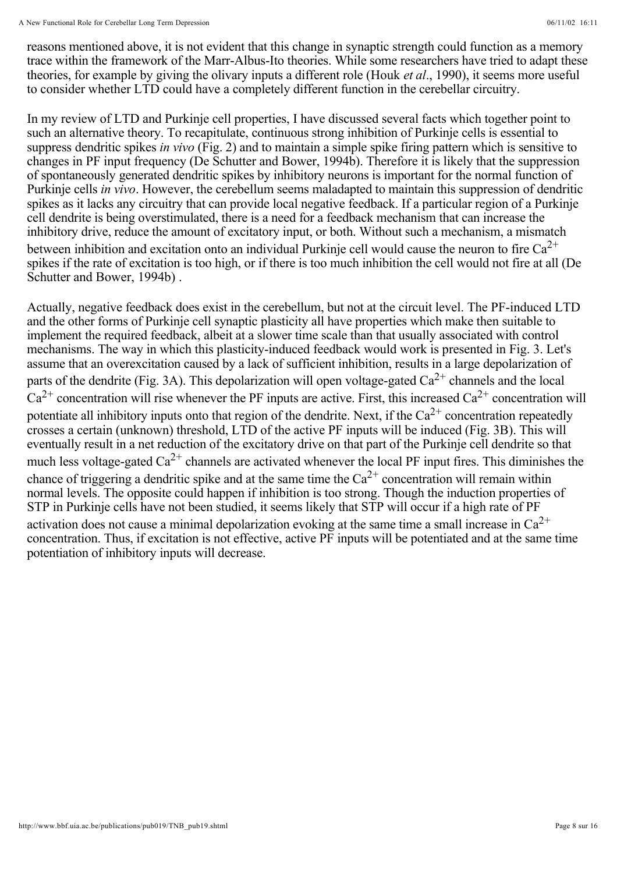reasons mentioned above, it is not evident that this change in synaptic strength could function as a memory trace within the framework of the Marr-Albus-Ito theories. While some researchers have tried to adapt these theories, for example by giving the olivary inputs a different role (Houk et al., 1990), it seems more useful to consider whether LTD could have a completely different function in the cerebellar circuitry.

In my review of LTD and Purkinje cell properties, I have discussed several facts which together point to such an alternative theory. To recapitulate, continuous strong inhibition of Purkinje cells is essential to suppress dendritic spikes *in vivo* (Fig. 2) and to maintain a simple spike firing pattern which is sensitive to changes in PF input frequency (De Schutter and Bower, 1994b). Therefore it is likely that the suppression of spontaneously generated dendritic spikes by inhibitory neurons is important for the normal function of Purkinje cells *in vivo*. However, the cerebellum seems maladapted to maintain this suppression of dendritic spikes as it lacks any circuitry that can provide local negative feedback. If a particular region of a Purkinje cell dendrite is being overstimulated, there is a need for a feedback mechanism that can increase the inhibitory drive, reduce the amount of excitatory input, or both. Without such a mechanism, a mismatch between inhibition and excitation onto an individual Purkinje cell would cause the neuron to fire  $Ca^{2+}$ spikes if the rate of excitation is too high, or if there is too much inhibition the cell would not fire at all (De Schutter and Bower, 1994b) .

Actually, negative feedback does exist in the cerebellum, but not at the circuit level. The PF-induced LTD and the other forms of Purkinje cell synaptic plasticity all have properties which make then suitable to implement the required feedback, albeit at a slower time scale than that usually associated with control mechanisms. The way in which this plasticity-induced feedback would work is presented in Fig. 3. Let's assume that an overexcitation caused by a lack of sufficient inhibition, results in a large depolarization of parts of the dendrite (Fig. 3A). This depolarization will open voltage-gated  $Ca^{2+}$  channels and the local  $Ca^{2+}$  concentration will rise whenever the PF inputs are active. First, this increased  $Ca^{2+}$  concentration will potentiate all inhibitory inputs onto that region of the dendrite. Next, if the  $Ca^{2+}$  concentration repeatedly crosses a certain (unknown) threshold, LTD of the active PF inputs will be induced (Fig. 3B). This will eventually result in a net reduction of the excitatory drive on that part of the Purkinje cell dendrite so that much less voltage-gated  $Ca^{2+}$  channels are activated whenever the local PF input fires. This diminishes the chance of triggering a dendritic spike and at the same time the  $Ca^{2+}$  concentration will remain within normal levels. The opposite could happen if inhibition is too strong. Though the induction properties of STP in Purkinje cells have not been studied, it seems likely that STP will occur if a high rate of PF activation does not cause a minimal depolarization evoking at the same time a small increase in  $Ca^{2+}$ concentration. Thus, if excitation is not effective, active PF inputs will be potentiated and at the same time potentiation of inhibitory inputs will decrease.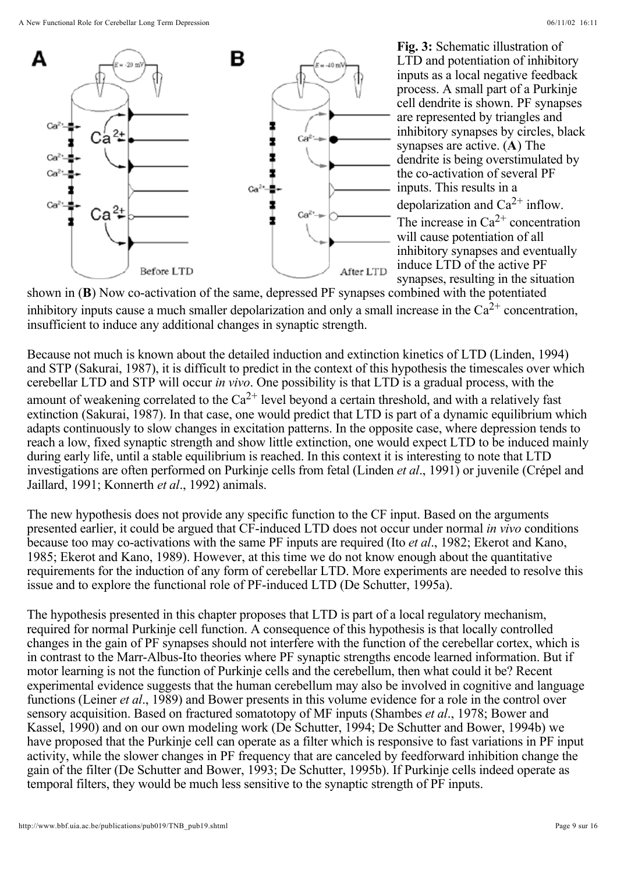

Fig. 3: Schematic illustration of LTD and potentiation of inhibitory inputs as a local negative feedback process. A small part of a Purkinje cell dendrite is shown. PF synapses are represented by triangles and inhibitory synapses by circles, black synapses are active.  $(A)$  The dendrite is being overstimulated by the co-activation of several PF inputs. This results in a depolarization and  $Ca^{2+}$  inflow. The increase in  $Ca^{2+}$  concentration will cause potentiation of all inhibitory synapses and eventually induce LTD of the active PF synapses, resulting in the situation

shown in  $(B)$  Now co-activation of the same, depressed PF synapses combined with the potentiated inhibitory inputs cause a much smaller depolarization and only a small increase in the  $Ca^{2+}$  concentration, insufficient to induce any additional changes in synaptic strength.

Because not much is known about the detailed induction and extinction kinetics of LTD (Linden, 1994) and STP (Sakurai, 1987), it is difficult to predict in the context of this hypothesis the timescales over which cerebellar LTD and STP will occur in vivo. One possibility is that LTD is a gradual process, with the amount of weakening correlated to the  $Ca^{2+}$  level beyond a certain threshold, and with a relatively fast extinction (Sakurai, 1987). In that case, one would predict that LTD is part of a dynamic equilibrium which adapts continuously to slow changes in excitation patterns. In the opposite case, where depression tends to reach a low, fixed synaptic strength and show little extinction, one would expect LTD to be induced mainly during early life, until a stable equilibrium is reached. In this context it is interesting to note that LTD investigations are often performed on Purkinje cells from fetal (Linden et al., 1991) or juvenile (Crépel and Jaillard, 1991; Konnerth et al., 1992) animals.

The new hypothesis does not provide any specific function to the CF input. Based on the arguments presented earlier, it could be argued that CF-induced LTD does not occur under normal in vivo conditions because too may co-activations with the same PF inputs are required (Ito *et al.*, 1982; Ekerot and Kano, 1985; Ekerot and Kano, 1989). However, at this time we do not know enough about the quantitative requirements for the induction of any form of cerebellar LTD. More experiments are needed to resolve this issue and to explore the functional role of PF-induced LTD (De Schutter, 1995a).

The hypothesis presented in this chapter proposes that LTD is part of a local regulatory mechanism, required for normal Purkinje cell function. A consequence of this hypothesis is that locally controlled changes in the gain of PF synapses should not interfere with the function of the cerebellar cortex, which is in contrast to the Marr-Albus-Ito theories where PF synaptic strengths encode learned information. But if motor learning is not the function of Purkinje cells and the cerebellum, then what could it be? Recent experimental evidence suggests that the human cerebellum may also be involved in cognitive and language functions (Leiner *et al.*, 1989) and Bower presents in this volume evidence for a role in the control over sensory acquisition. Based on fractured somatotopy of MF inputs (Shambes et al., 1978; Bower and Kassel, 1990) and on our own modeling work (De Schutter, 1994; De Schutter and Bower, 1994b) we have proposed that the Purkinje cell can operate as a filter which is responsive to fast variations in PF input activity, while the slower changes in PF frequency that are canceled by feedforward inhibition change the gain of the filter (De Schutter and Bower, 1993; De Schutter, 1995b). If Purkinje cells indeed operate as temporal filters, they would be much less sensitive to the synaptic strength of PF inputs.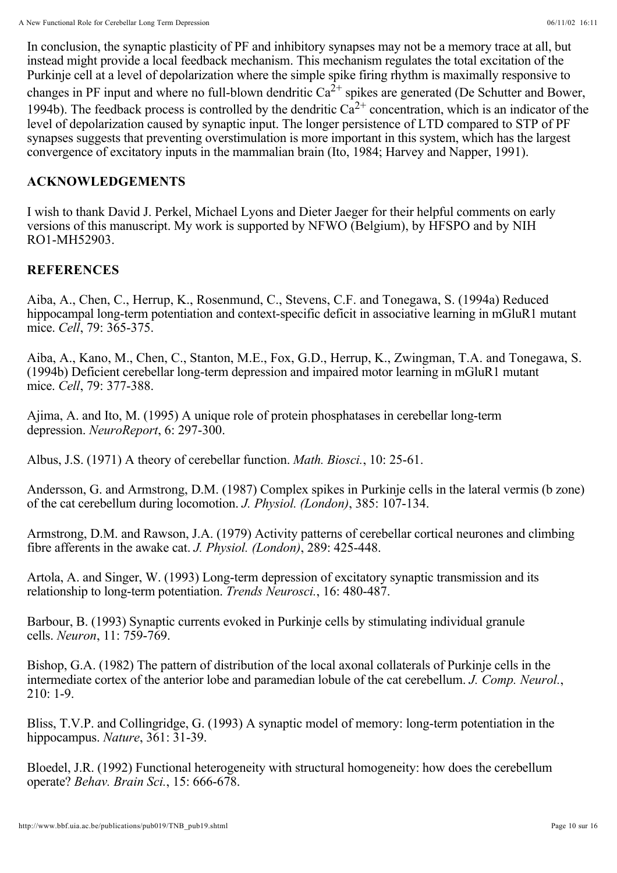In conclusion, the synaptic plasticity of PF and inhibitory synapses may not be a memory trace at all, but instead might provide a local feedback mechanism. This mechanism regulates the total excitation of the Purkinje cell at a level of depolarization where the simple spike firing rhythm is maximally responsive to changes in PF input and where no full-blown dendritic  $Ca^{2+}$  spikes are generated (De Schutter and Bower, 1994b). The feedback process is controlled by the dendritic  $Ca^{2+}$  concentration, which is an indicator of the level of depolarization caused by synaptic input. The longer persistence of LTD compared to STP of PF synapses suggests that preventing overstimulation is more important in this system, which has the largest convergence of excitatory inputs in the mammalian brain (Ito, 1984; Harvey and Napper, 1991).

#### **ACKNOWLEDGEMENTS**

I wish to thank David J. Perkel, Michael Lyons and Dieter Jaeger for their helpful comments on early versions of this manuscript. My work is supported by NFWO (Belgium), by HFSPO and by NIH RO1-MH52903.

#### **REFERENCES**

Aiba, A., Chen, C., Herrup, K., Rosenmund, C., Stevens, C.F. and Tonegawa, S. (1994a) Reduced hippocampal long-term potentiation and context-specific deficit in associative learning in mGluR1 mutant mice. *Cell*, 79: 365-375.

Aiba, A., Kano, M., Chen, C., Stanton, M.E., Fox, G.D., Herrup, K., Zwingman, T.A. and Tonegawa, S. (1994b) Deficient cerebellar long-term depression and impaired motor learning in mGluR1 mutant mice. *Cell*, 79: 377-388.

Ajima, A. and Ito, M. (1995) A unique role of protein phosphatases in cerebellar long-term depression. *NeuroReport*, 6: 297-300.

Albus, J.S. (1971) A theory of cerebellar function. *Math. Biosci.*, 10: 25-61.

Andersson, G. and Armstrong, D.M. (1987) Complex spikes in Purkinje cells in the lateral vermis (b zone) of the cat cerebellum during locomotion. *J. Physiol. (London)*, 385: 107-134.

Armstrong, D.M. and Rawson, J.A. (1979) Activity patterns of cerebellar cortical neurones and climbing fibre afferents in the awake cat. *J. Physiol. (London)*, 289: 425-448.

Artola, A. and Singer, W. (1993) Long-term depression of excitatory synaptic transmission and its relationship to long-term potentiation. *Trends Neurosci.*, 16: 480-487.

Barbour, B. (1993) Synaptic currents evoked in Purkinje cells by stimulating individual granule cells. *Neuron*, 11: 759-769.

Bishop, G.A. (1982) The pattern of distribution of the local axonal collaterals of Purkinje cells in the intermediate cortex of the anterior lobe and paramedian lobule of the cat cerebellum. J. Comp. Neurol., 210: 1-9.

Bliss, T.V.P. and Collingridge, G. (1993) A synaptic model of memory: long-term potentiation in the hippocampus. *Nature*, 361: 31-39.

Bloedel, J.R. (1992) Functional heterogeneity with structural homogeneity: how does the cerebellum operate? *Behav. Brain Sci.*, 15: 666-678.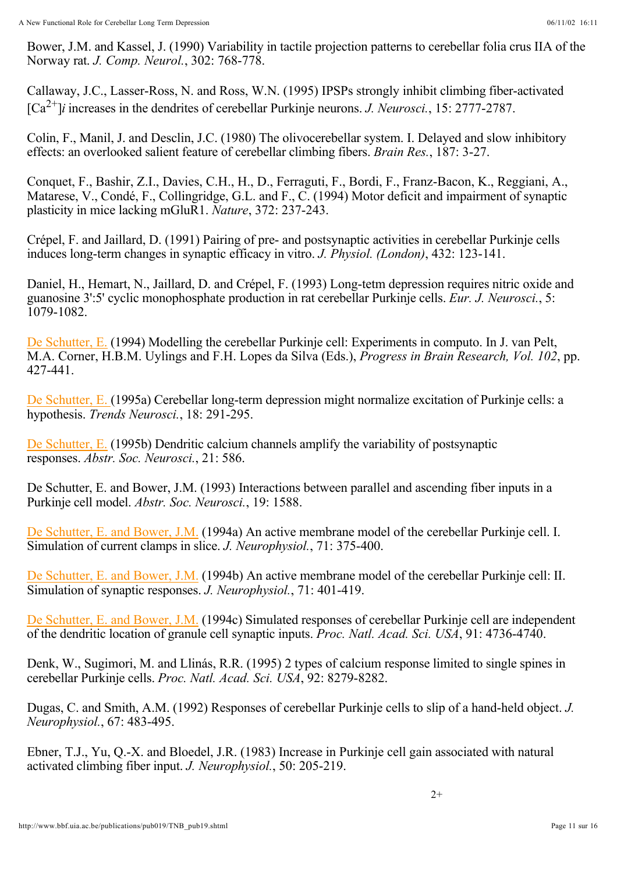Bower, J.M. and Kassel, J. (1990) Variability in tactile projection patterns to cerebellar folia crus IIA of the Norway rat. *J. Comp. Neurol.*, 302: 768-778.

Callaway, J.C., Lasser-Ross, N. and Ross, W.N. (1995) IPSPs strongly inhibit climbing fiber-activated  $[Ca^{2+}]\iota$  increases in the dendrites of cerebellar Purkinje neurons. *J. Neurosci.*, 15: 2777-2787.

Colin, F., Manil, J. and Desclin, J.C. (1980) The olivocerebellar system. I. Delayed and slow inhibitory effects: an overlooked salient feature of cerebellar climbing fibers. *Brain Res.*, 187: 3-27.

Conquet, F., Bashir, Z.I., Davies, C.H., H., D., Ferraguti, F., Bordi, F., Franz-Bacon, K., Reggiani, A., Matarese, V., Condé, F., Collingridge, G.L. and F., C. (1994) Motor deficit and impairment of synaptic plasticity in mice lacking mGluR1. *Nature*, 372: 237-243.

Crépel, F. and Jaillard, D. (1991) Pairing of pre- and postsynaptic activities in cerebellar Purkinje cells induces long-term changes in synaptic efficacy in vitro. *J. Physiol. (London)*, 432: 123-141.

Daniel, H., Hemart, N., Jaillard, D. and Crépel, F. (1993) Long-tetm depression requires nitric oxide and guanosine 3':5' cyclic monophosphate production in rat cerebellar Purkinje cells. *Eur. J. Neurosci.*, 5: 1079-1082.

De Schutter, E. (1994) Modelling the cerebellar Purkinje cell: Experiments in computo. In J. van Pelt, M.A. Corner, H.B.M. Uylings and F.H. Lopes da Silva (Eds.), *Progress in Brain Research, Vol. 102*, pp. 427-441.

De Schutter, E. (1995a) Cerebellar long-term depression might normalize excitation of Purkinje cells: a hypothesis. Trends Neurosci., 18: 291-295.

De Schutter, E. (1995b) Dendritic calcium channels amplify the variability of postsynaptic responses. Abstr. Soc. Neurosci., 21: 586.

De Schutter, E. and Bower, J.M. (1993) Interactions between parallel and ascending fiber inputs in a Purkinje cell model. *Abstr. Soc. Neurosci.*, 19: 1588.

De Schutter, E. and Bower, J.M. (1994a) An active membrane model of the cerebellar Purkinje cell. I. Simulation of current clamps in slice. J. Neurophysiol., 71: 375-400.

De Schutter, E. and Bower, J.M. (1994b) An active membrane model of the cerebellar Purkinje cell: II. Simulation of synaptic responses. J. Neurophysiol., 71: 401-419.

De Schutter, E. and Bower, J.M. (1994c) Simulated responses of cerebellar Purkinje cell are independent of the dendritic location of granule cell synaptic inputs. Proc. Natl. Acad. Sci. USA, 91: 4736-4740.

Denk, W., Sugimori, M. and Llinás, R.R. (1995) 2 types of calcium response limited to single spines in cerebellar Purkinje cells. *Proc. Natl. Acad. Sci. USA*, 92: 8279-8282.

Dugas, C. and Smith, A.M. (1992) Responses of cerebellar Purkinje cells to slip of a hand-held object. *J.*  , 67: 483-495. *Neurophysiol.*

Ebner, T.J., Yu, Q.-X. and Bloedel, J.R. (1983) Increase in Purkinje cell gain associated with natural activated climbing fiber input. *J. Neurophysiol.*, 50: 205-219.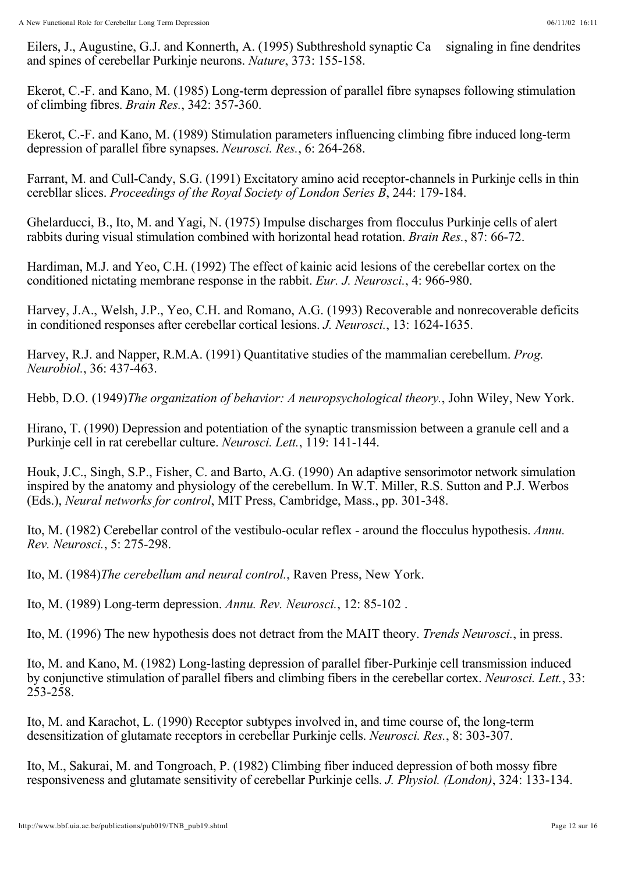Eilers, J., Augustine, G.J. and Konnerth, A. (1995) Subthreshold synaptic Ca signaling in fine dendrites and spines of cerebellar Purkinje neurons. *Nature*, 373: 155-158.

Ekerot, C.-F. and Kano, M. (1985) Long-term depression of parallel fibre synapses following stimulation of climbing fibres. *Brain Res.*, 342: 357-360.

Ekerot, C.-F. and Kano, M. (1989) Stimulation parameters influencing climbing fibre induced long-term depression of parallel fibre synapses. *Neurosci. Res.*, 6: 264-268.

Farrant, M. and Cull-Candy, S.G. (1991) Excitatory amino acid receptor-channels in Purkinje cells in thin cerebllar slices. *Proceedings of the Royal Society of London Series B*, 244: 179-184.

Ghelarducci, B., Ito, M. and Yagi, N. (1975) Impulse discharges from flocculus Purkinje cells of alert rabbits during visual stimulation combined with horizontal head rotation. *Brain Res.*, 87: 66-72.

Hardiman, M.J. and Yeo, C.H. (1992) The effect of kainic acid lesions of the cerebellar cortex on the conditioned nictating membrane response in the rabbit. *Eur. J. Neurosci.*, 4: 966-980.

Harvey, J.A., Welsh, J.P., Yeo, C.H. and Romano, A.G. (1993) Recoverable and nonrecoverable deficits in conditioned responses after cerebellar cortical lesions. *J. Neurosci.*, 13: 1624-1635.

Harvey, R.J. and Napper, R.M.A. (1991) Quantitative studies of the mammalian cerebellum. *Prog.*  , 36: 437-463. *Neurobiol.*

Hebb, D.O. (1949)*The organization of behavior: A neuropsychological theory.*, John Wiley, New York.

Hirano, T. (1990) Depression and potentiation of the synaptic transmission between a granule cell and a Purkinje cell in rat cerebellar culture. *Neurosci. Lett.*, 119: 141-144.

Houk, J.C., Singh, S.P., Fisher, C. and Barto, A.G. (1990) An adaptive sensorimotor network simulation inspired by the anatomy and physiology of the cerebellum. In W.T. Miller, R.S. Sutton and P.J. Werbos (Eds.), *Neural networks for control*, MIT Press, Cambridge, Mass., pp. 301-348.

Ito, M. (1982) Cerebellar control of the vestibulo-ocular reflex - around the flocculus hypothesis. *Annu.*  , 5: 275-298. *Rev. Neurosci.*

Ito, M. (1984)*The cerebellum and neural control.*, Raven Press, New York.

Ito, M. (1989) Long-term depression. *Annu. Rev. Neurosci.*, 12: 85-102 .

Ito, M. (1996) The new hypothesis does not detract from the MAIT theory. *Trends Neurosci.*, in press.

Ito, M. and Kano, M. (1982) Long-lasting depression of parallel fiber-Purkinje cell transmission induced by conjunctive stimulation of parallel fibers and climbing fibers in the cerebellar cortex. *Neurosci. Lett.*, 33: 253-258.

Ito, M. and Karachot, L. (1990) Receptor subtypes involved in, and time course of, the long-term desensitization of glutamate receptors in cerebellar Purkinje cells. *Neurosci. Res.*, 8: 303-307.

Ito, M., Sakurai, M. and Tongroach, P. (1982) Climbing fiber induced depression of both mossy fibre responsiveness and glutamate sensitivity of cerebellar Purkinje cells. *J. Physiol. (London)*, 324: 133-134.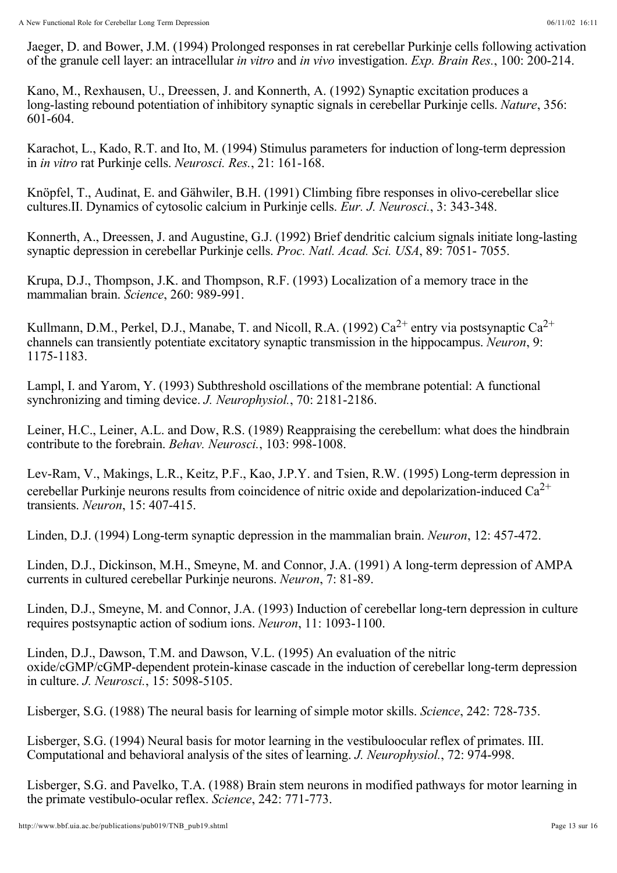Jaeger, D. and Bower, J.M. (1994) Prolonged responses in rat cerebellar Purkinje cells following activation of the granule cell layer: an intracellular *in vitro* and *in vivo* investigation. *Exp. Brain Res.*, 100: 200-214.

Kano, M., Rexhausen, U., Dreessen, J. and Konnerth, A. (1992) Synaptic excitation produces a long-lasting rebound potentiation of inhibitory synaptic signals in cerebellar Purkinje cells. *Nature*, 356: 601-604.

Karachot, L., Kado, R.T. and Ito, M. (1994) Stimulus parameters for induction of long-term depression in *in vitro* rat Purkinje cells. *Neurosci. Res.*, 21: 161-168.

Knöpfel, T., Audinat, E. and Gähwiler, B.H. (1991) Climbing fibre responses in olivo-cerebellar slice cultures.II. Dynamics of cytosolic calcium in Purkinje cells. *Eur. J. Neurosci.*, 3: 343-348.

Konnerth, A., Dreessen, J. and Augustine, G.J. (1992) Brief dendritic calcium signals initiate long-lasting synaptic depression in cerebellar Purkinje cells. *Proc. Natl. Acad. Sci. USA*, 89: 7051- 7055.

Krupa, D.J., Thompson, J.K. and Thompson, R.F. (1993) Localization of a memory trace in the mammalian brain. *Science*, 260: 989-991.

Kullmann, D.M., Perkel, D.J., Manabe, T. and Nicoll, R.A. (1992)  $Ca^{2+}$  entry via postsynaptic  $Ca^{2+}$ channels can transiently potentiate excitatory synaptic transmission in the hippocampus. Neuron, 9: 1175-1183.

Lampl, I. and Yarom, Y. (1993) Subthreshold oscillations of the membrane potential: A functional synchronizing and timing device. *J. Neurophysiol.*, 70: 2181-2186.

Leiner, H.C., Leiner, A.L. and Dow, R.S. (1989) Reappraising the cerebellum: what does the hindbrain contribute to the forebrain. *Behav. Neurosci.*, 103: 998-1008.

Lev-Ram, V., Makings, L.R., Keitz, P.F., Kao, J.P.Y. and Tsien, R.W. (1995) Long-term depression in cerebellar Purkinje neurons results from coincidence of nitric oxide and depolarization-induced  $Ca^{2+}$ transients. Neuron, 15: 407-415.

Linden, D.J. (1994) Long-term synaptic depression in the mammalian brain. *Neuron*, 12: 457-472.

Linden, D.J., Dickinson, M.H., Smeyne, M. and Connor, J.A. (1991) A long-term depression of AMPA currents in cultured cerebellar Purkinje neurons. *Neuron*, 7: 81-89.

Linden, D.J., Smeyne, M. and Connor, J.A. (1993) Induction of cerebellar long-tern depression in culture requires postsynaptic action of sodium ions. *Neuron*, 11: 1093-1100.

Linden, D.J., Dawson, T.M. and Dawson, V.L. (1995) An evaluation of the nitric oxide/cGMP/cGMP-dependent protein-kinase cascade in the induction of cerebellar long-term depression in culture. *J. Neurosci.*, 15: 5098-5105.

Lisberger, S.G. (1988) The neural basis for learning of simple motor skills. *Science*, 242: 728-735.

Lisberger, S.G. (1994) Neural basis for motor learning in the vestibuloocular reflex of primates. III. Computational and behavioral analysis of the sites of learning. *J. Neurophysiol.*, 72: 974-998.

Lisberger, S.G. and Pavelko, T.A. (1988) Brain stem neurons in modified pathways for motor learning in the primate vestibulo-ocular reflex. *Science*, 242: 771-773.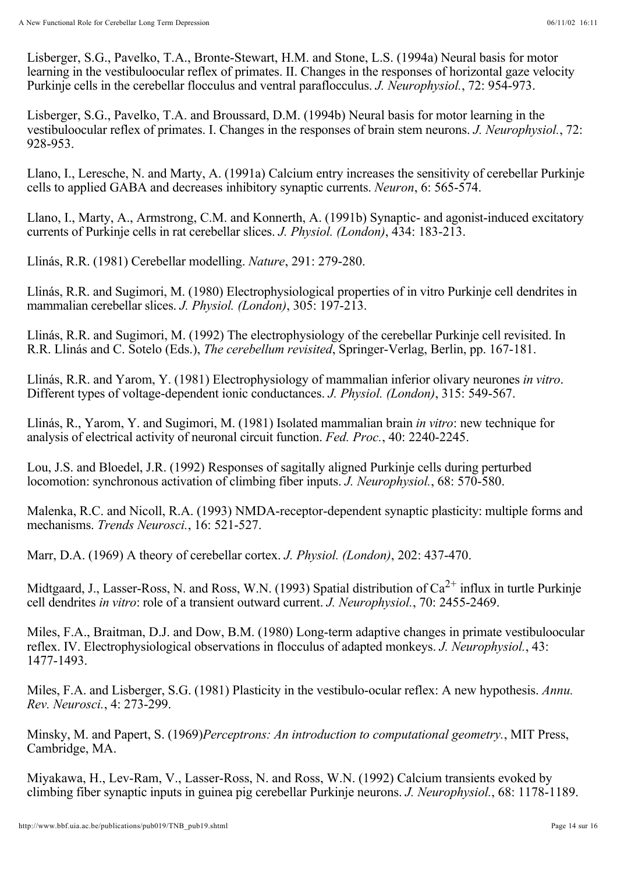Lisberger, S.G., Pavelko, T.A., Bronte-Stewart, H.M. and Stone, L.S. (1994a) Neural basis for motor learning in the vestibuloocular reflex of primates. II. Changes in the responses of horizontal gaze velocity Purkinje cells in the cerebellar flocculus and ventral paraflocculus. *J. Neurophysiol.*, 72: 954-973.

Lisberger, S.G., Pavelko, T.A. and Broussard, D.M. (1994b) Neural basis for motor learning in the vestibuloocular reflex of primates. I. Changes in the responses of brain stem neurons. *J. Neurophysiol.*, 72: 928-953.

Llano, I., Leresche, N. and Marty, A. (1991a) Calcium entry increases the sensitivity of cerebellar Purkinje cells to applied GABA and decreases inhibitory synaptic currents. *Neuron*, 6: 565-574.

Llano, I., Marty, A., Armstrong, C.M. and Konnerth, A. (1991b) Synaptic- and agonist-induced excitatory currents of Purkinje cells in rat cerebellar slices. *J. Physiol. (London)*, 434: 183-213.

Llinás, R.R. (1981) Cerebellar modelling. *Nature*, 291: 279-280.

Llinás, R.R. and Sugimori, M. (1980) Electrophysiological properties of in vitro Purkinje cell dendrites in mammalian cerebellar slices. *J. Physiol. (London)*, 305: 197-213.

Llinás, R.R. and Sugimori, M. (1992) The electrophysiology of the cerebellar Purkinje cell revisited. In R.R. Llinás and C. Sotelo (Eds.), *The cerebellum revisited*, Springer-Verlag, Berlin, pp. 167-181.

Llinás, R.R. and Yarom, Y. (1981) Electrophysiology of mammalian inferior olivary neurones in vitro. Different types of voltage-dependent ionic conductances. J. Physiol. (London), 315: 549-567.

Llinás, R., Yarom, Y. and Sugimori, M. (1981) Isolated mammalian brain *in vitro*: new technique for analysis of electrical activity of neuronal circuit function. Fed. Proc., 40: 2240-2245.

Lou, J.S. and Bloedel, J.R. (1992) Responses of sagitally aligned Purkinje cells during perturbed locomotion: synchronous activation of climbing fiber inputs. *J. Neurophysiol.*, 68: 570-580.

Malenka, R.C. and Nicoll, R.A. (1993) NMDA-receptor-dependent synaptic plasticity: multiple forms and mechanisms. *Trends Neurosci.*, 16: 521-527.

Marr, D.A. (1969) A theory of cerebellar cortex. *J. Physiol. (London)*, 202: 437-470.

Midtgaard, J., Lasser-Ross, N. and Ross, W.N. (1993) Spatial distribution of  $Ca^{2+}$  influx in turtle Purkinje cell dendrites in vitro: role of a transient outward current. J. Neurophysiol., 70: 2455-2469.

Miles, F.A., Braitman, D.J. and Dow, B.M. (1980) Long-term adaptive changes in primate vestibuloocular reflex. IV. Electrophysiological observations in flocculus of adapted monkeys. *J. Neurophysiol.*, 43: 1477-1493.

Miles, F.A. and Lisberger, S.G. (1981) Plasticity in the vestibulo-ocular reflex: A new hypothesis. *Annu.*  , 4: 273-299. *Rev. Neurosci.*

Minsky, M. and Papert, S. (1969) Perceptrons: An introduction to computational geometry., MIT Press, Cambridge, MA.

Miyakawa, H., Lev-Ram, V., Lasser-Ross, N. and Ross, W.N. (1992) Calcium transients evoked by climbing fiber synaptic inputs in guinea pig cerebellar Purkinje neurons. *J. Neurophysiol.*, 68: 1178-1189.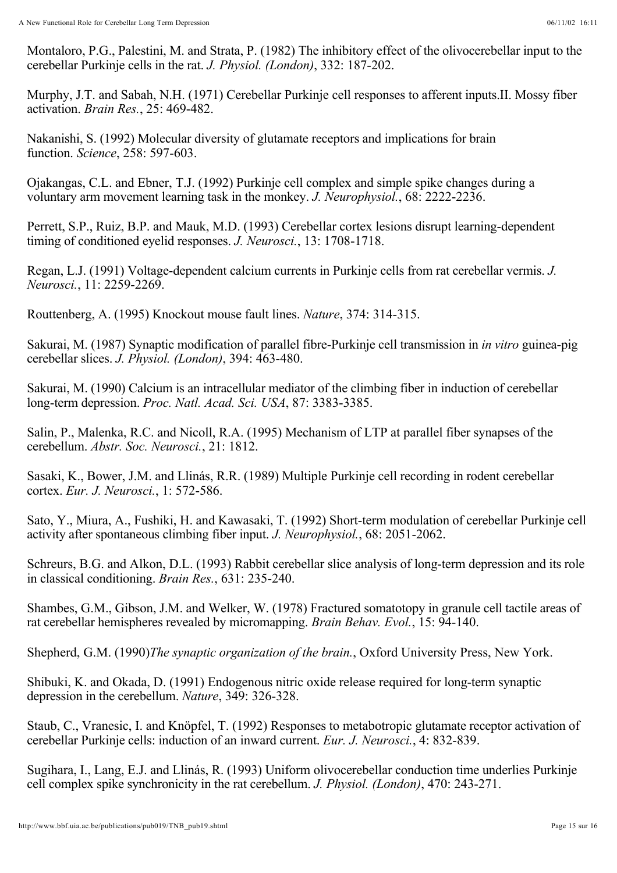Montaloro, P.G., Palestini, M. and Strata, P. (1982) The inhibitory effect of the olivocerebellar input to the cerebellar Purkinje cells in the rat. *J. Physiol. (London)*, 332: 187-202.

Murphy, J.T. and Sabah, N.H. (1971) Cerebellar Purkinje cell responses to afferent inputs.II. Mossy fiber activation. *Brain Res.*, 25: 469-482.

Nakanishi, S. (1992) Molecular diversity of glutamate receptors and implications for brain function. *Science*, 258: 597-603.

Ojakangas, C.L. and Ebner, T.J. (1992) Purkinje cell complex and simple spike changes during a voluntary arm movement learning task in the monkey. *J. Neurophysiol.*, 68: 2222-2236.

Perrett, S.P., Ruiz, B.P. and Mauk, M.D. (1993) Cerebellar cortex lesions disrupt learning-dependent timing of conditioned eyelid responses. *J. Neurosci.*, 13: 1708-1718.

Regan, L.J. (1991) Voltage-dependent calcium currents in Purkinje cells from rat cerebellar vermis. *J.*  , 11: 2259-2269. *Neurosci.*

Routtenberg, A. (1995) Knockout mouse fault lines. *Nature*, 374: 314-315.

Sakurai, M. (1987) Synaptic modification of parallel fibre-Purkinje cell transmission in *in vitro* guinea-pig cerebellar slices. *J. Physiol.* (London), 394: 463-480.

Sakurai, M. (1990) Calcium is an intracellular mediator of the climbing fiber in induction of cerebellar long-term depression. *Proc. Natl. Acad. Sci. USA*, 87: 3383-3385.

Salin, P., Malenka, R.C. and Nicoll, R.A. (1995) Mechanism of LTP at parallel fiber synapses of the cerebellum. *Abstr. Soc. Neurosci.*, 21: 1812.

Sasaki, K., Bower, J.M. and Llinás, R.R. (1989) Multiple Purkinje cell recording in rodent cerebellar cortex. *Eur. J. Neurosci.*, 1: 572-586.

Sato, Y., Miura, A., Fushiki, H. and Kawasaki, T. (1992) Short-term modulation of cerebellar Purkinje cell activity after spontaneous climbing fiber input. *J. Neurophysiol.*, 68: 2051-2062.

Schreurs, B.G. and Alkon, D.L. (1993) Rabbit cerebellar slice analysis of long-term depression and its role in classical conditioning. *Brain Res.*, 631: 235-240.

Shambes, G.M., Gibson, J.M. and Welker, W. (1978) Fractured somatotopy in granule cell tactile areas of rat cerebellar hemispheres revealed by micromapping. *Brain Behav. Evol.*, 15: 94-140.

Shepherd, G.M. (1990)*The synaptic organization of the brain.*, Oxford University Press, New York.

Shibuki, K. and Okada, D. (1991) Endogenous nitric oxide release required for long-term synaptic depression in the cerebellum. *Nature*, 349: 326-328.

Staub, C., Vranesic, I. and Knöpfel, T. (1992) Responses to metabotropic glutamate receptor activation of cerebellar Purkinje cells: induction of an inward current. *Eur. J. Neurosci.*, 4: 832-839.

Sugihara, I., Lang, E.J. and Llinás, R. (1993) Uniform olivocerebellar conduction time underlies Purkinje cell complex spike synchronicity in the rat cerebellum. *J. Physiol. (London)*, 470: 243-271.